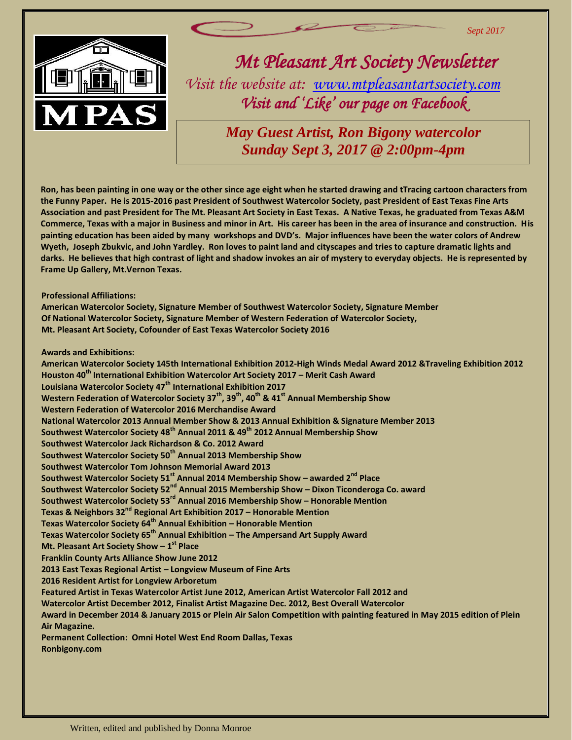

*Mt Pleasant Art Society Newsletter Visit the website at: [www.mtpleasantartsociety.com](http://www.mtpleasantartsociety.com/) Visit and 'Like' our page on Facebook* 

*Sept 2017*

*May Guest Artist, Ron Bigony watercolor Sunday Sept 3, 2017 @ 2:00pm-4pm*

the Funny Paper. He is 2015-2016 past President of Southwest Watercolor Society, past President of East Texas Fine Arts<br>Association and past President for The Mt. Pleasant Art Society in East Texas. A Native Texas, he grad g e<br>, J<br>. He<br>. . **Ron, has been painting in one way or the other since age eight when he started drawing and tTracing cartoon characters from Association and past President for The Mt. Pleasant Art Society in East Texas. A Native Texas, he graduated from Texas A&M Commerce, Texas with a major in Business and minor in Art. His career has been in the area of insurance and construction. His painting education has been aided by many workshops and DVD's. Major influences have been the water colors of Andrew Wyeth, Joseph Zbukvic, and John Yardley. Ron loves to paint land and cityscapes and tries to capture dramatic lights and darks. He believes that high contrast of light and shadow invokes an air of mystery to everyday objects. He is represented by Frame Up Gallery, Mt.Vernon Texas.**

**Professional Affiliations:**

**American Watercolor Society, Signature Member of Southwest Watercolor Society, Signature Member Of National Watercolor Society, Signature Member of Western Federation of Watercolor Society, Mt. Pleasant Art Society, Cofounder of East Texas Watercolor Society 2016**

**Awards and Exhibitions:**

**American Watercolor Society 145th International Exhibition 2012-High Winds Medal Award 2012 &Traveling Exhibition 2012 Houston 40th International Exhibition Watercolor Art Society 2017 – Merit Cash Award Louisiana Watercolor Society 47th International Exhibition 2017 Western Federation of Watercolor Society 37th, 39th, 40th & 41st Annual Membership Show Western Federation of Watercolor 2016 Merchandise Award National Watercolor 2013 Annual Member Show & 2013 Annual Exhibition & Signature Member 2013 Southwest Watercolor Society 48th Annual 2011 & 49th 2012 Annual Membership Show Southwest Watercolor Jack Richardson & Co. 2012 Award Southwest Watercolor Society 50th Annual 2013 Membership Show Southwest Watercolor Tom Johnson Memorial Award 2013 Southwest Watercolor Society 51st Annual 2014 Membership Show – awarded 2nd Place Southwest Watercolor Society 52nd Annual 2015 Membership Show – Dixon Ticonderoga Co. award Southwest Watercolor Society 53rd Annual 2016 Membership Show – Honorable Mention Texas & Neighbors 32nd Regional Art Exhibition 2017 – Honorable Mention Texas Watercolor Society 64th Annual Exhibition – Honorable Mention Texas Watercolor Society 65th Annual Exhibition – The Ampersand Art Supply Award Mt. Pleasant Art Society Show – 1 st Place Franklin County Arts Alliance Show June 2012 2013 East Texas Regional Artist – Longview Museum of Fine Arts 2016 Resident Artist for Longview Arboretum Featured Artist in Texas Watercolor Artist June 2012, American Artist Watercolor Fall 2012 and Watercolor Artist December 2012, Finalist Artist Magazine Dec. 2012, Best Overall Watercolor Award in December 2014 & January 2015 or Plein Air Salon Competition with painting featured in May 2015 edition of Plein Air Magazine. Permanent Collection: Omni Hotel West End Room Dallas, Texas Ronbigony.com**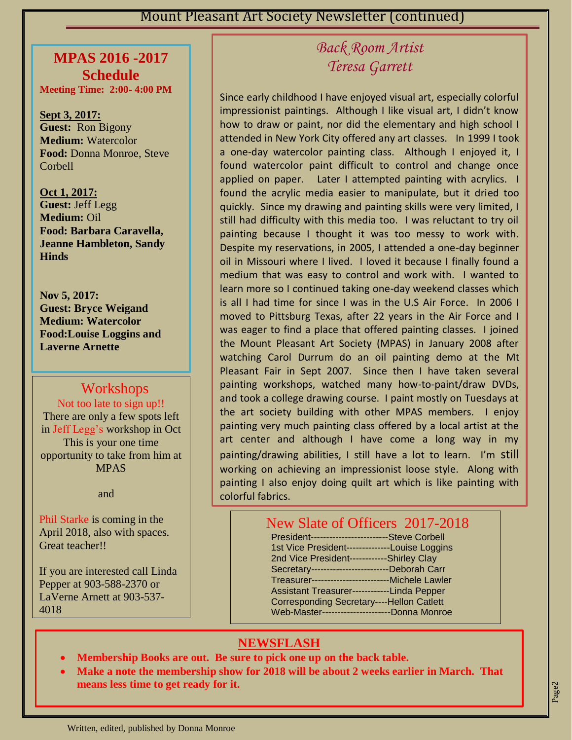#### **MPAS 2016 -2017 Schedule**

**Meeting Time: 2:00- 4:00 PM**

**Sept 3, 2017: Guest:** Ron Bigony **Medium:** Watercolor **Food:** Donna Monroe, Steve Corbell

 **Food: Barbara Caravella, Oct 1, 2017: Guest:** Jeff Legg **Medium:** Oil **Jeanne Hambleton, Sandy Hinds**

 **Nov 5, 2017: Guest: Bryce Weigand Medium: Watercolor Food:Louise Loggins and Laverne Arnette**

## **Workshops**

Not too late to sign up!!

There are only a few spots left in Jeff Legg's workshop in Oct This is your one time opportunity to take from him at MPAS

and

Phil Starke is coming in the April 2018, also with spaces. Great teacher!!

If you are interested call Linda Pepper at 903-588-2370 or LaVerne Arnett at 903-537- 4018

# *Back Room Artist Teresa Garrett*

a one day watercolor painting class. Thinbagh I enjoyed it, I Since early childhood I have enjoyed visual art, especially colorful impressionist paintings. Although I like visual art, I didn't know how to draw or paint, nor did the elementary and high school I attended in New York City offered any art classes. In 1999 I took a one-day watercolor painting class. Although I enjoyed it, I applied on paper. Later I attempted painting with acrylics. I found the acrylic media easier to manipulate, but it dried too quickly. Since my drawing and painting skills were very limited, I still had difficulty with this media too. I was reluctant to try oil painting because I thought it was too messy to work with. Despite my reservations, in 2005, I attended a one-day beginner oil in Missouri where I lived. I loved it because I finally found a medium that was easy to control and work with. I wanted to learn more so I continued taking one-day weekend classes which is all I had time for since I was in the U.S Air Force. In 2006 I moved to Pittsburg Texas, after 22 years in the Air Force and I was eager to find a place that offered painting classes. I joined the Mount Pleasant Art Society (MPAS) in January 2008 after watching Carol Durrum do an oil painting demo at the Mt Pleasant Fair in Sept 2007. Since then I have taken several painting workshops, watched many how-to-paint/draw DVDs, and took a college drawing course. I paint mostly on Tuesdays at the art society building with other MPAS members. I enjoy painting very much painting class offered by a local artist at the art center and although I have come a long way in my painting/drawing abilities, I still have a lot to learn. I'm still working on achieving an impressionist loose style. Along with painting I also enjoy doing quilt art which is like painting with colorful fabrics.

#### New Slate of Officers 2017-2018

| President-------------------------Steve Corbell     |  |
|-----------------------------------------------------|--|
| 1st Vice President--------------Louise Loggins      |  |
| 2nd Vice President------------Shirley Clay          |  |
| Secretary---------------------------Deborah Carr    |  |
| Treasurer--------------------------- Michele Lawler |  |
| Assistant Treasurer------------Linda Pepper         |  |
| <b>Corresponding Secretary----Hellon Catlett</b>    |  |
| Web-Master-----------------------Donna Monroe       |  |
|                                                     |  |

### **NEWSFLASH**

- **Membership Books are out. Be sure to pick one up on the back table.**
- **Make a note the membership show for 2018 will be about 2 weeks earlier in March. That means less time to get ready for it.**